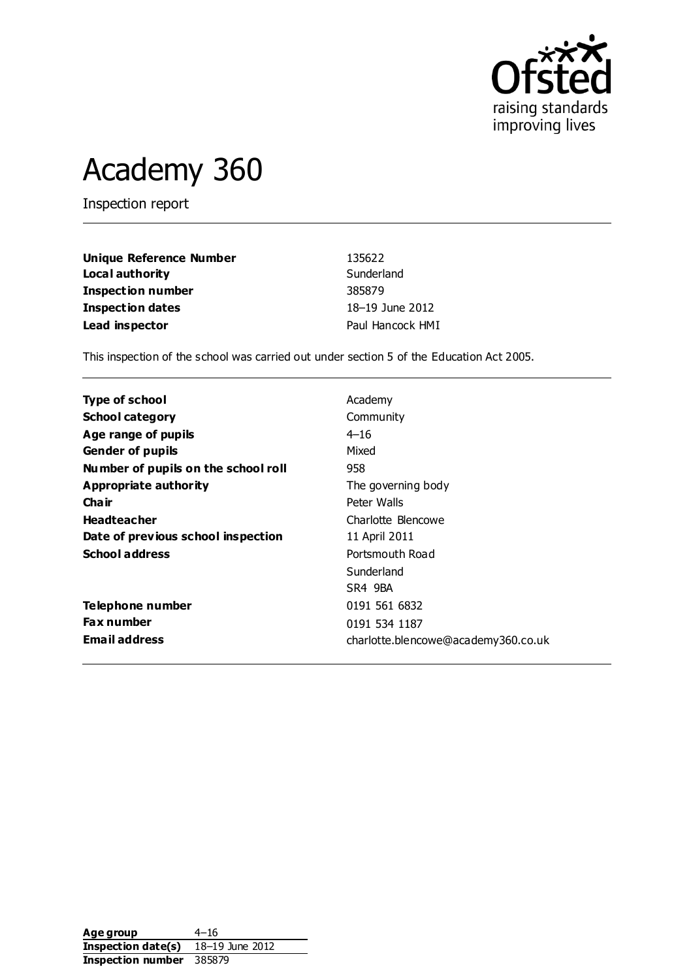

# Academy 360

Inspection report

| Unique Reference Number | 135622           |
|-------------------------|------------------|
| Local authority         | Sunderland       |
| Inspection number       | 385879           |
| Inspection dates        | 18-19 June 2012  |
| Lead inspector          | Paul Hancock HMI |

This inspection of the school was carried out under section 5 of the Education Act 2005.

| Type of school                      | Academy                             |
|-------------------------------------|-------------------------------------|
| <b>School category</b>              | Community                           |
| Age range of pupils                 | $4 - 16$                            |
| <b>Gender of pupils</b>             | Mixed                               |
| Number of pupils on the school roll | 958                                 |
| Appropriate authority               | The governing body                  |
| Cha ir                              | Peter Walls                         |
| <b>Headteacher</b>                  | Charlotte Blencowe                  |
| Date of previous school inspection  | 11 April 2011                       |
| <b>School address</b>               | Portsmouth Road                     |
|                                     | Sunderland                          |
|                                     | SR4 9BA                             |
| Telephone number                    | 0191 561 6832                       |
| <b>Fax number</b>                   | 0191 534 1187                       |
| <b>Email address</b>                | charlotte.blencowe@academy360.co.uk |

**Age group** 4–16 **Inspection date(s)** 18–19 June 2012 **Inspection number** 385879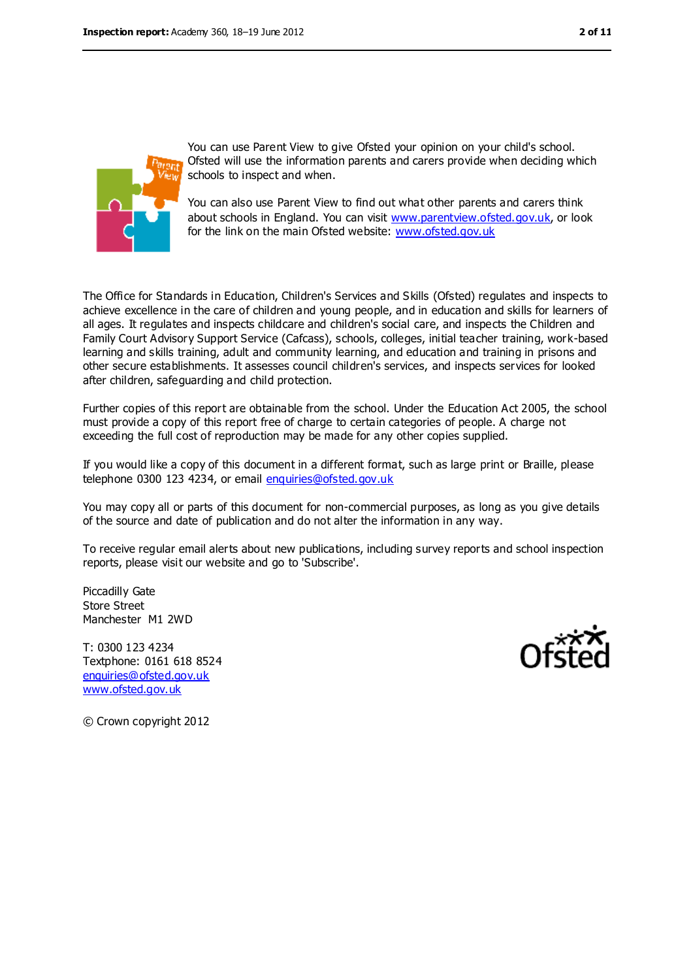

You can use Parent View to give Ofsted your opinion on your child's school. Ofsted will use the information parents and carers provide when deciding which schools to inspect and when.

You can also use Parent View to find out what other parents and carers think about schools in England. You can visit [www.parentview.ofsted.gov.uk,](www.parentview.ofsted.gov.uk) or look for the link on the main Ofsted website:<www.ofsted.gov.uk>

The Office for Standards in Education, Children's Services and Skills (Ofsted) regulates and inspects to achieve excellence in the care of children and young people, and in education and skills for learners of all ages. It regulates and inspects childcare and children's social care, and inspects the Children and Family Court Advisory Support Service (Cafcass), schools, colleges, initial teacher training, work-based learning and skills training, adult and community learning, and education and training in prisons and other secure establishments. It assesses council children's services, and inspects services for looked after children, safeguarding and child protection.

Further copies of this report are obtainable from the school. Under the Education Act 2005, the school must provide a copy of this report free of charge to certain categories of people. A charge not exceeding the full cost of reproduction may be made for any other copies supplied.

If you would like a copy of this document in a different format, such as large print or Braille, please telephone 0300 123 4234, or email [enquiries@ofsted.gov.uk](mailto:enquiries@ofsted.gov.uk)

You may copy all or parts of this document for non-commercial purposes, as long as you give details of the source and date of publication and do not alter the information in any way.

To receive regular email alerts about new publications, including survey reports and school inspection reports, please visit our website and go to 'Subscribe'.

Piccadilly Gate Store Street Manchester M1 2WD

T: 0300 123 4234 Textphone: 0161 618 8524 [enquiries@ofsted.gov.uk](mailto:enquiries@ofsted.gov.uk) [www.ofsted.gov.uk](http://www.ofsted.gov.uk/)



© Crown copyright 2012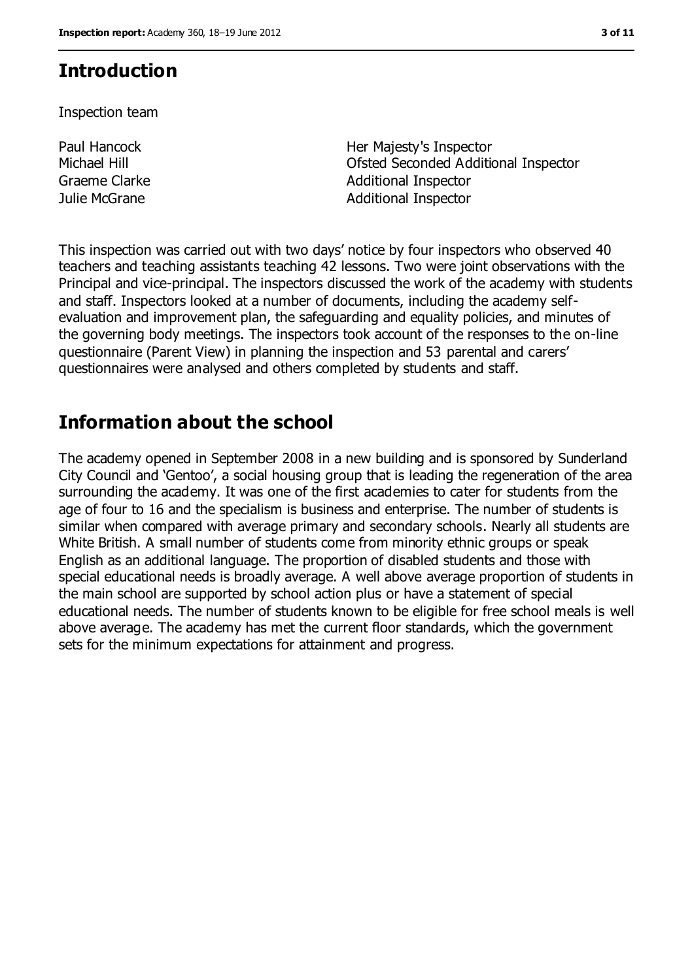### **Introduction**

Inspection team

Paul Hancock Michael Hill

Her Majesty's Inspector Ofsted Seconded Additional Inspector Graeme Clarke **Additional Inspector** Additional Inspector Julie McGrane **Additional Inspector** 

This inspection was carried out with two days' notice by four inspectors who observed 40 teachers and teaching assistants teaching 42 lessons. Two were joint observations with the Principal and vice-principal. The inspectors discussed the work of the academy with students and staff. Inspectors looked at a number of documents, including the academy selfevaluation and improvement plan, the safeguarding and equality policies, and minutes of the governing body meetings. The inspectors took account of the responses to the on-line questionnaire (Parent View) in planning the inspection and 53 parental and carers' questionnaires were analysed and others completed by students and staff.

### **Information about the school**

The academy opened in September 2008 in a new building and is sponsored by Sunderland City Council and 'Gentoo', a social housing group that is leading the regeneration of the area surrounding the academy. It was one of the first academies to cater for students from the age of four to 16 and the specialism is business and enterprise. The number of students is similar when compared with average primary and secondary schools. Nearly all students are White British. A small number of students come from minority ethnic groups or speak English as an additional language. The proportion of disabled students and those with special educational needs is broadly average. A well above average proportion of students in the main school are supported by school action plus or have a statement of special educational needs. The number of students known to be eligible for free school meals is well above average. The academy has met the current floor standards, which the government sets for the minimum expectations for attainment and progress.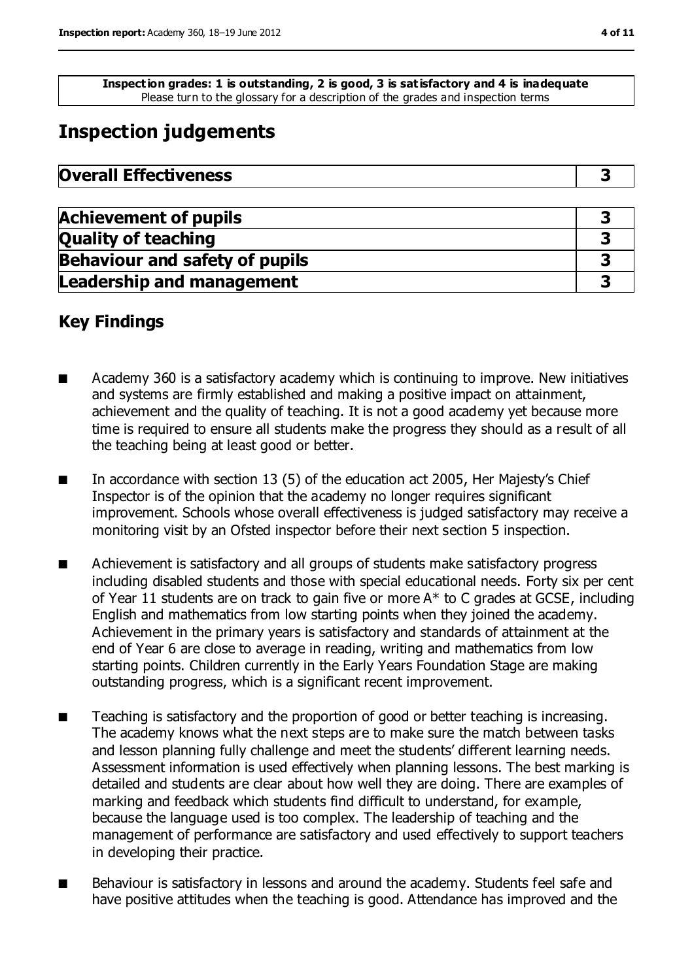**Inspection grades: 1 is outstanding, 2 is good, 3 is satisfactory and 4 is inadequate** Please turn to the glossary for a description of the grades and inspection terms

### **Inspection judgements**

| <b>Overall Effectiveness</b> |  |
|------------------------------|--|
|------------------------------|--|

| <b>Achievement of pupils</b>          |  |
|---------------------------------------|--|
| <b>Quality of teaching</b>            |  |
| <b>Behaviour and safety of pupils</b> |  |
| <b>Leadership and management</b>      |  |

### **Key Findings**

- Academy 360 is a satisfactory academy which is continuing to improve. New initiatives and systems are firmly established and making a positive impact on attainment, achievement and the quality of teaching. It is not a good academy yet because more time is required to ensure all students make the progress they should as a result of all the teaching being at least good or better.
- In accordance with section 13 (5) of the education act 2005, Her Majesty's Chief Inspector is of the opinion that the academy no longer requires significant improvement. Schools whose overall effectiveness is judged satisfactory may receive a monitoring visit by an Ofsted inspector before their next section 5 inspection.
- Achievement is satisfactory and all groups of students make satisfactory progress including disabled students and those with special educational needs. Forty six per cent of Year 11 students are on track to gain five or more A\* to C grades at GCSE, including English and mathematics from low starting points when they joined the academy. Achievement in the primary years is satisfactory and standards of attainment at the end of Year 6 are close to average in reading, writing and mathematics from low starting points. Children currently in the Early Years Foundation Stage are making outstanding progress, which is a significant recent improvement.
- Teaching is satisfactory and the proportion of good or better teaching is increasing. The academy knows what the next steps are to make sure the match between tasks and lesson planning fully challenge and meet the students' different learning needs. Assessment information is used effectively when planning lessons. The best marking is detailed and students are clear about how well they are doing. There are examples of marking and feedback which students find difficult to understand, for example, because the language used is too complex. The leadership of teaching and the management of performance are satisfactory and used effectively to support teachers in developing their practice.
- Behaviour is satisfactory in lessons and around the academy. Students feel safe and have positive attitudes when the teaching is good. Attendance has improved and the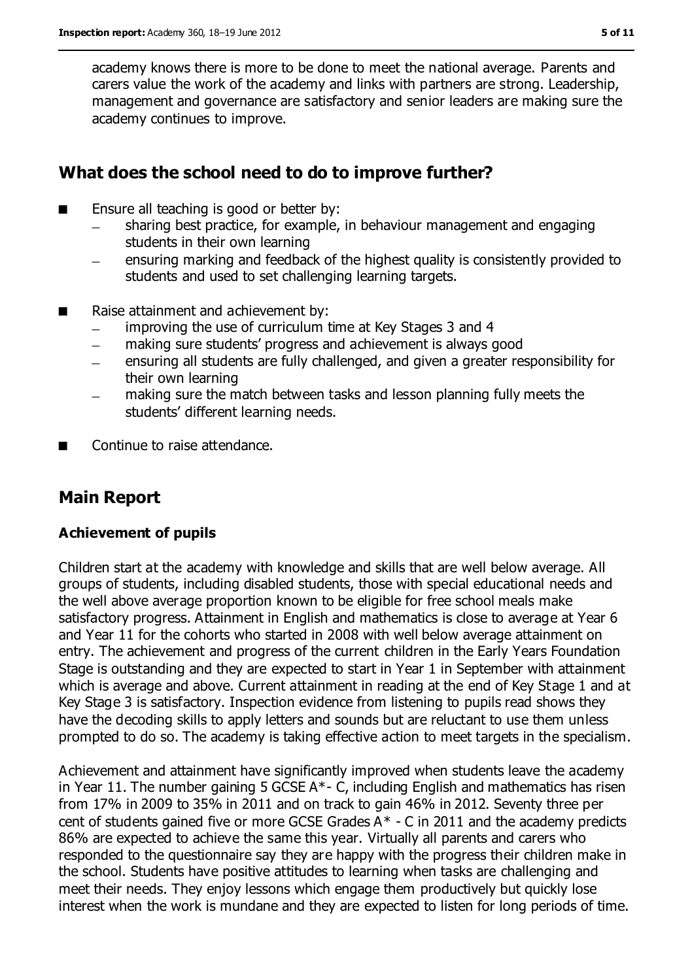academy knows there is more to be done to meet the national average. Parents and carers value the work of the academy and links with partners are strong. Leadership, management and governance are satisfactory and senior leaders are making sure the academy continues to improve.

### **What does the school need to do to improve further?**

- Ensure all teaching is good or better by:
	- sharing best practice, for example, in behaviour management and engaging students in their own learning
	- ensuring marking and feedback of the highest quality is consistently provided to students and used to set challenging learning targets.
- Raise attainment and achievement by:
	- improving the use of curriculum time at Key Stages 3 and 4  $\equiv$
	- making sure students' progress and achievement is always good  $\equiv$
	- ensuring all students are fully challenged, and given a greater responsibility for their own learning
	- making sure the match between tasks and lesson planning fully meets the students' different learning needs.
- Continue to raise attendance.

### **Main Report**

#### **Achievement of pupils**

Children start at the academy with knowledge and skills that are well below average. All groups of students, including disabled students, those with special educational needs and the well above average proportion known to be eligible for free school meals make satisfactory progress. Attainment in English and mathematics is close to average at Year 6 and Year 11 for the cohorts who started in 2008 with well below average attainment on entry. The achievement and progress of the current children in the Early Years Foundation Stage is outstanding and they are expected to start in Year 1 in September with attainment which is average and above. Current attainment in reading at the end of Key Stage 1 and at Key Stage 3 is satisfactory. Inspection evidence from listening to pupils read shows they have the decoding skills to apply letters and sounds but are reluctant to use them unless prompted to do so. The academy is taking effective action to meet targets in the specialism.

Achievement and attainment have significantly improved when students leave the academy in Year 11. The number gaining 5 GCSE A\*- C, including English and mathematics has risen from 17% in 2009 to 35% in 2011 and on track to gain 46% in 2012. Seventy three per cent of students gained five or more GCSE Grades  $A^*$  - C in 2011 and the academy predicts 86% are expected to achieve the same this year. Virtually all parents and carers who responded to the questionnaire say they are happy with the progress their children make in the school. Students have positive attitudes to learning when tasks are challenging and meet their needs. They enjoy lessons which engage them productively but quickly lose interest when the work is mundane and they are expected to listen for long periods of time.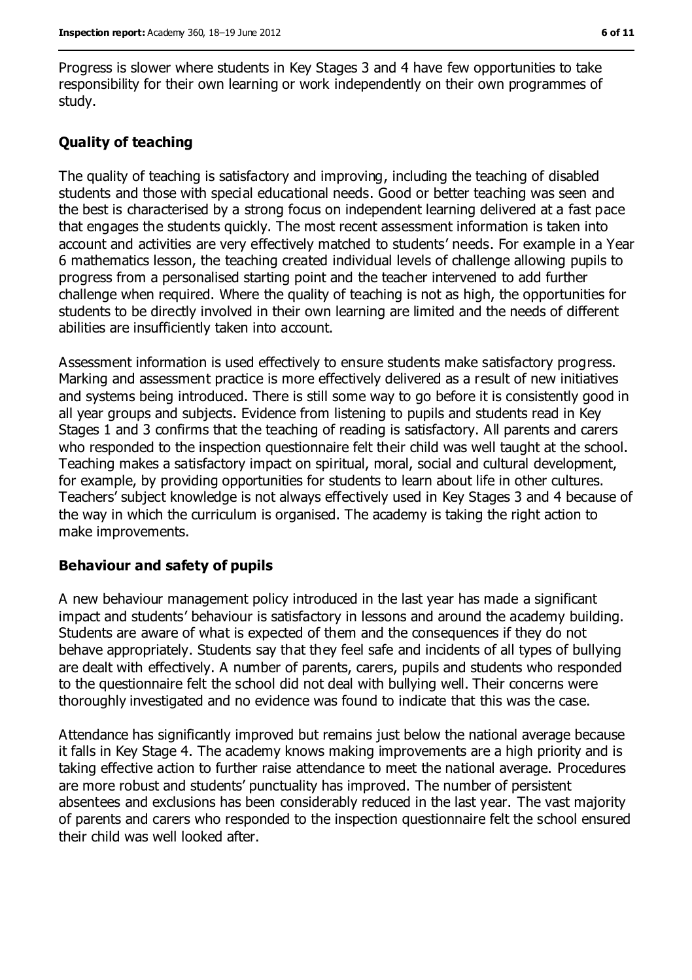Progress is slower where students in Key Stages 3 and 4 have few opportunities to take responsibility for their own learning or work independently on their own programmes of study.

#### **Quality of teaching**

The quality of teaching is satisfactory and improving, including the teaching of disabled students and those with special educational needs. Good or better teaching was seen and the best is characterised by a strong focus on independent learning delivered at a fast pace that engages the students quickly. The most recent assessment information is taken into account and activities are very effectively matched to students' needs. For example in a Year 6 mathematics lesson, the teaching created individual levels of challenge allowing pupils to progress from a personalised starting point and the teacher intervened to add further challenge when required. Where the quality of teaching is not as high, the opportunities for students to be directly involved in their own learning are limited and the needs of different abilities are insufficiently taken into account.

Assessment information is used effectively to ensure students make satisfactory progress. Marking and assessment practice is more effectively delivered as a result of new initiatives and systems being introduced. There is still some way to go before it is consistently good in all year groups and subjects. Evidence from listening to pupils and students read in Key Stages 1 and 3 confirms that the teaching of reading is satisfactory. All parents and carers who responded to the inspection questionnaire felt their child was well taught at the school. Teaching makes a satisfactory impact on spiritual, moral, social and cultural development, for example, by providing opportunities for students to learn about life in other cultures. Teachers' subject knowledge is not always effectively used in Key Stages 3 and 4 because of the way in which the curriculum is organised. The academy is taking the right action to make improvements.

#### **Behaviour and safety of pupils**

A new behaviour management policy introduced in the last year has made a significant impact and students' behaviour is satisfactory in lessons and around the academy building. Students are aware of what is expected of them and the consequences if they do not behave appropriately. Students say that they feel safe and incidents of all types of bullying are dealt with effectively. A number of parents, carers, pupils and students who responded to the questionnaire felt the school did not deal with bullying well. Their concerns were thoroughly investigated and no evidence was found to indicate that this was the case.

Attendance has significantly improved but remains just below the national average because it falls in Key Stage 4. The academy knows making improvements are a high priority and is taking effective action to further raise attendance to meet the national average. Procedures are more robust and students' punctuality has improved. The number of persistent absentees and exclusions has been considerably reduced in the last year. The vast majority of parents and carers who responded to the inspection questionnaire felt the school ensured their child was well looked after.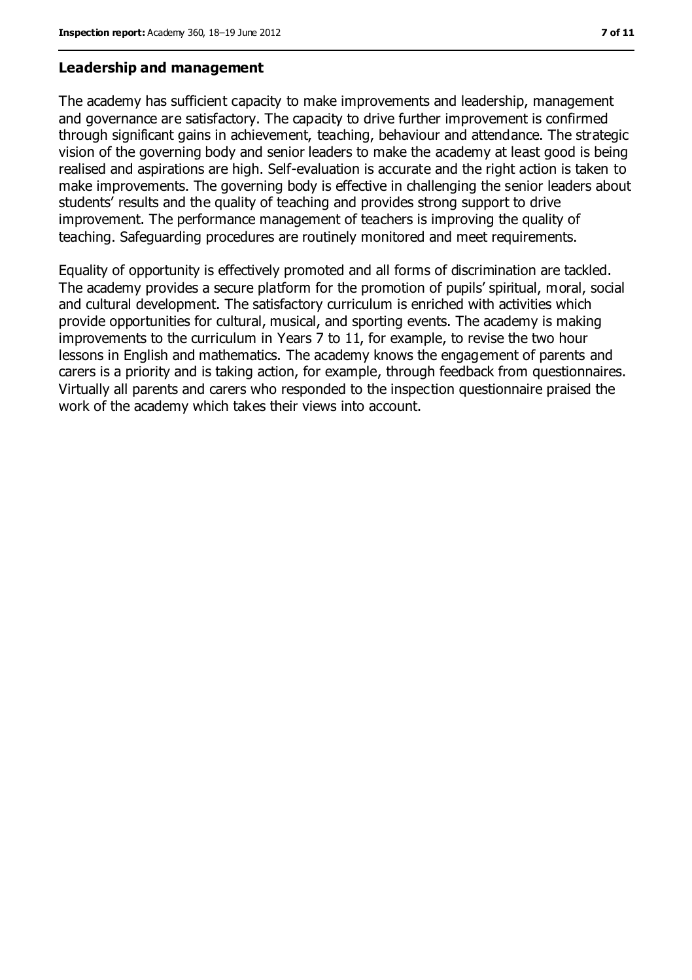#### **Leadership and management**

The academy has sufficient capacity to make improvements and leadership, management and governance are satisfactory. The capacity to drive further improvement is confirmed through significant gains in achievement, teaching, behaviour and attendance. The strategic vision of the governing body and senior leaders to make the academy at least good is being realised and aspirations are high. Self-evaluation is accurate and the right action is taken to make improvements. The governing body is effective in challenging the senior leaders about students' results and the quality of teaching and provides strong support to drive improvement. The performance management of teachers is improving the quality of teaching. Safeguarding procedures are routinely monitored and meet requirements.

Equality of opportunity is effectively promoted and all forms of discrimination are tackled. The academy provides a secure platform for the promotion of pupils' spiritual, moral, social and cultural development. The satisfactory curriculum is enriched with activities which provide opportunities for cultural, musical, and sporting events. The academy is making improvements to the curriculum in Years 7 to 11, for example, to revise the two hour lessons in English and mathematics. The academy knows the engagement of parents and carers is a priority and is taking action, for example, through feedback from questionnaires. Virtually all parents and carers who responded to the inspection questionnaire praised the work of the academy which takes their views into account.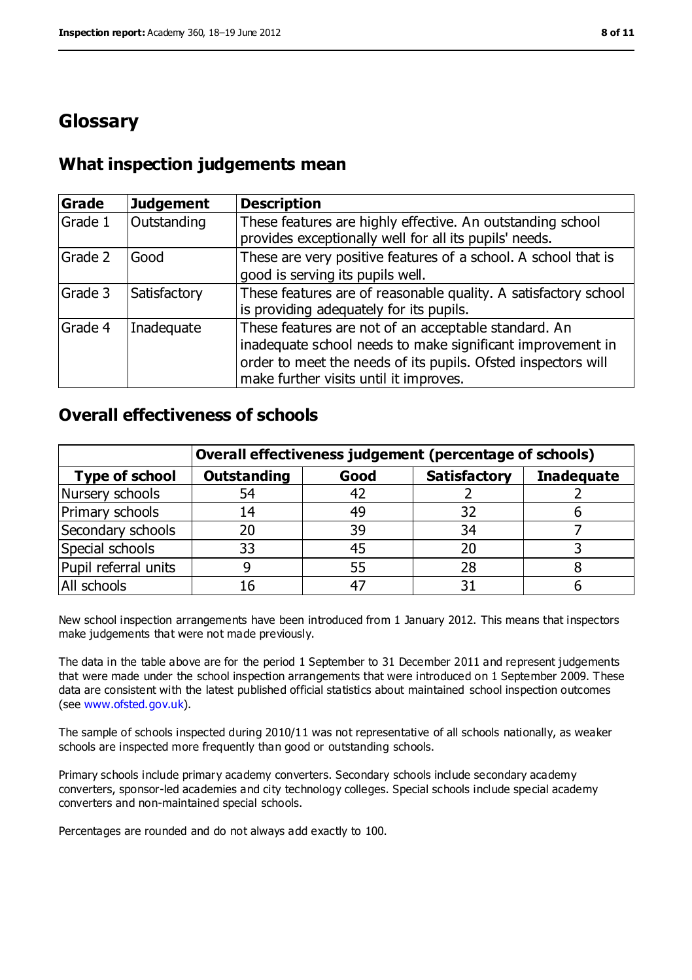### **Glossary**

#### **What inspection judgements mean**

| <b>Grade</b> | <b>Judgement</b> | <b>Description</b>                                                                                                                                                                                                            |
|--------------|------------------|-------------------------------------------------------------------------------------------------------------------------------------------------------------------------------------------------------------------------------|
| Grade 1      | Outstanding      | These features are highly effective. An outstanding school<br>provides exceptionally well for all its pupils' needs.                                                                                                          |
| Grade 2      | Good             | These are very positive features of a school. A school that is<br>good is serving its pupils well.                                                                                                                            |
| Grade 3      | Satisfactory     | These features are of reasonable quality. A satisfactory school<br>is providing adequately for its pupils.                                                                                                                    |
| Grade 4      | Inadequate       | These features are not of an acceptable standard. An<br>inadequate school needs to make significant improvement in<br>order to meet the needs of its pupils. Ofsted inspectors will<br>make further visits until it improves. |

### **Overall effectiveness of schools**

|                       | Overall effectiveness judgement (percentage of schools) |      |                     |                   |
|-----------------------|---------------------------------------------------------|------|---------------------|-------------------|
| <b>Type of school</b> | <b>Outstanding</b>                                      | Good | <b>Satisfactory</b> | <b>Inadequate</b> |
| Nursery schools       | 54                                                      |      |                     |                   |
| Primary schools       | 14                                                      | 49   | 32                  |                   |
| Secondary schools     | 20                                                      | 39   | 34                  |                   |
| Special schools       | 33                                                      | 45   | 20                  |                   |
| Pupil referral units  | 9                                                       | 55   | 28                  |                   |
| All schools           | 16                                                      |      |                     |                   |

New school inspection arrangements have been introduced from 1 January 2012. This means that inspectors make judgements that were not made previously.

The data in the table above are for the period 1 September to 31 December 2011 and represent judgements that were made under the school inspection arrangements that were introduced on 1 September 2009. These data are consistent with the latest published official statistics about maintained school inspection outcomes (see [www.ofsted.gov.uk\)](www.ofsted.gov.uk).

The sample of schools inspected during 2010/11 was not representative of all schools nationally, as weaker schools are inspected more frequently than good or outstanding schools.

Primary schools include primary academy converters. Secondary schools include secondary academy converters, sponsor-led academies and city technology colleges. Special schools include special academy converters and non-maintained special schools.

Percentages are rounded and do not always add exactly to 100.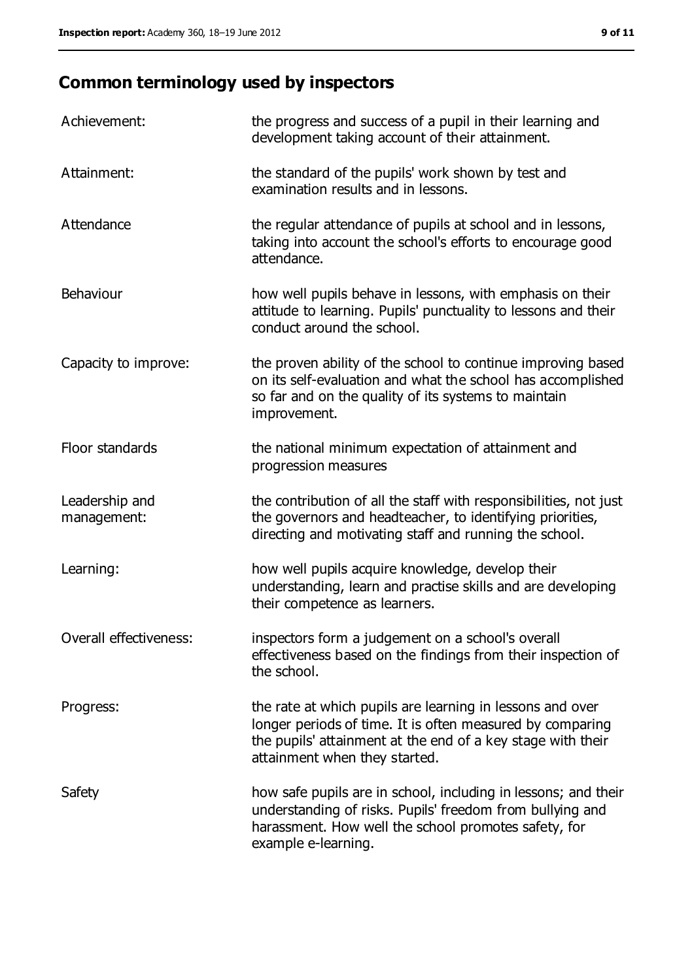## **Common terminology used by inspectors**

| Achievement:                  | the progress and success of a pupil in their learning and<br>development taking account of their attainment.                                                                                                           |
|-------------------------------|------------------------------------------------------------------------------------------------------------------------------------------------------------------------------------------------------------------------|
| Attainment:                   | the standard of the pupils' work shown by test and<br>examination results and in lessons.                                                                                                                              |
| Attendance                    | the regular attendance of pupils at school and in lessons,<br>taking into account the school's efforts to encourage good<br>attendance.                                                                                |
| Behaviour                     | how well pupils behave in lessons, with emphasis on their<br>attitude to learning. Pupils' punctuality to lessons and their<br>conduct around the school.                                                              |
| Capacity to improve:          | the proven ability of the school to continue improving based<br>on its self-evaluation and what the school has accomplished<br>so far and on the quality of its systems to maintain<br>improvement.                    |
| Floor standards               | the national minimum expectation of attainment and<br>progression measures                                                                                                                                             |
| Leadership and<br>management: | the contribution of all the staff with responsibilities, not just<br>the governors and headteacher, to identifying priorities,<br>directing and motivating staff and running the school.                               |
| Learning:                     | how well pupils acquire knowledge, develop their<br>understanding, learn and practise skills and are developing<br>their competence as learners.                                                                       |
| Overall effectiveness:        | inspectors form a judgement on a school's overall<br>effectiveness based on the findings from their inspection of<br>the school.                                                                                       |
| Progress:                     | the rate at which pupils are learning in lessons and over<br>longer periods of time. It is often measured by comparing<br>the pupils' attainment at the end of a key stage with their<br>attainment when they started. |
| Safety                        | how safe pupils are in school, including in lessons; and their<br>understanding of risks. Pupils' freedom from bullying and<br>harassment. How well the school promotes safety, for<br>example e-learning.             |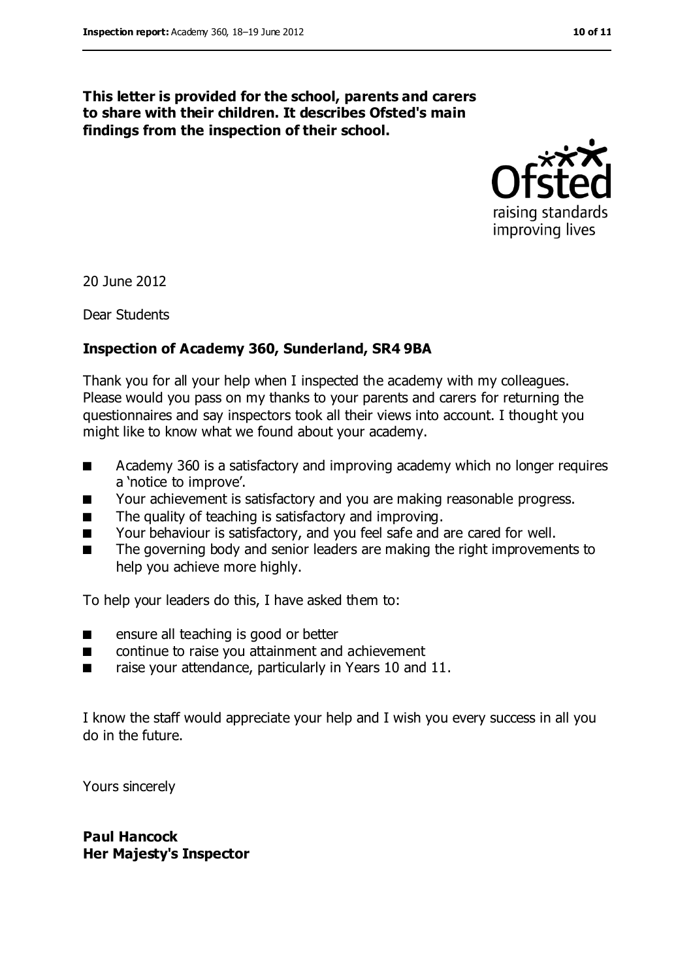**This letter is provided for the school, parents and carers to share with their children. It describes Ofsted's main findings from the inspection of their school.**

> raising standards improving lives

20 June 2012

Dear Students

#### **Inspection of Academy 360, Sunderland, SR4 9BA**

Thank you for all your help when I inspected the academy with my colleagues. Please would you pass on my thanks to your parents and carers for returning the questionnaires and say inspectors took all their views into account. I thought you might like to know what we found about your academy.

- Academy 360 is a satisfactory and improving academy which no longer requires a 'notice to improve'.
- Your achievement is satisfactory and you are making reasonable progress.
- The quality of teaching is satisfactory and improving.
- Your behaviour is satisfactory, and you feel safe and are cared for well.
- The governing body and senior leaders are making the right improvements to help you achieve more highly.

To help your leaders do this, I have asked them to:

- ensure all teaching is good or better
- continue to raise you attainment and achievement
- raise your attendance, particularly in Years 10 and 11.

I know the staff would appreciate your help and I wish you every success in all you do in the future.

Yours sincerely

**Paul Hancock Her Majesty's Inspector**